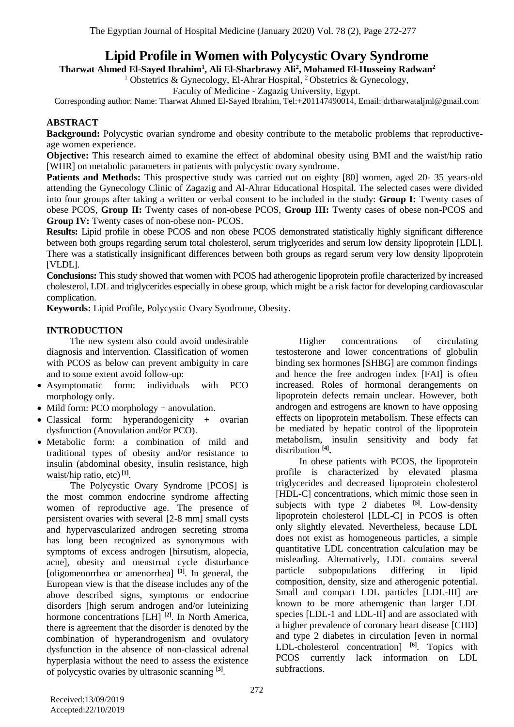# **Lipid Profile in Women with Polycystic Ovary Syndrome**

**Husseiny Radwan<sup>2</sup> , Mohamed El-2 , Ali El-Sharbrawy Ali <sup>1</sup> Tharwat Ahmed El-Sayed Ibrahim**

<sup>1</sup> Obstetrics & Gynecology, El-Ahrar Hospital, <sup>2</sup> Obstetrics & Gynecology,

Faculty of Medicine - Zagazig University, Egypt.

Corresponding author: Name: Tharwat Ahmed El-Sayed Ibrahim, [Tel:+201147490014,](mailto:Tel:+201147490014) Email: drtharwataljml@gmail.com

### **ABSTRACT**

**Background:** Polycystic ovarian syndrome and obesity contribute to the metabolic problems that reproductiveage women experience.

**Objective:** This research aimed to examine the effect of abdominal obesity using BMI and the waist/hip ratio [WHR] on metabolic parameters in patients with polycystic ovary syndrome.

**Patients and Methods:** This prospective study was carried out on eighty [80] women, aged 20-35 years-old attending the Gynecology Clinic of Zagazig and Al-Ahrar Educational Hospital. The selected cases were divided into four groups after taking a written or verbal consent to be included in the study: **Group I:** Twenty cases of obese PCOS, **Group II:** Twenty cases of non-obese PCOS, **Group III:** Twenty cases of obese non-PCOS and **Group IV:** Twenty cases of non-obese non- PCOS.

**Results:** Lipid profile in obese PCOS and non obese PCOS demonstrated statistically highly significant difference between both groups regarding serum total cholesterol, serum triglycerides and serum low density lipoprotein [LDL]. There was a statistically insignificant differences between both groups as regard serum very low density lipoprotein [VLDL].

**Conclusions:** This study showed that women with PCOS had atherogenic lipoprotein profile characterized by increased cholesterol, LDL and triglycerides especially in obese group, which might be a risk factor for developing cardiovascular complication.

**Keywords:** Lipid Profile, Polycystic Ovary Syndrome, Obesity.

### **INTRODUCTION**

The new system also could avoid undesirable diagnosis and intervention. Classification of women with PCOS as below can prevent ambiguity in care and to some extent avoid follow-up:

- Asymptomatic form: individuals with PCO morphology only.
- Mild form: PCO morphology + anovulation.
- Classical form: hyperandogenicity + ovarian dysfunction (Anovulation and/or PCO).
- Metabolic form: a combination of mild and traditional types of obesity and/or resistance to insulin (abdominal obesity, insulin resistance, high waist/hip ratio, etc) **[1]** .

The Polycystic Ovary Syndrome [PCOS] is the most common endocrine syndrome affecting women of reproductive age. The presence of persistent ovaries with several [2-8 mm] small cysts and hypervascularized androgen secreting stroma has long been recognized as synonymous with symptoms of excess androgen [hirsutism, alopecia, acne], obesity and menstrual cycle disturbance [oligomenorrhea or amenorrhea] **[1]** . In general, the European view is that the disease includes any of the above described signs, symptoms or endocrine disorders [high serum androgen and/or luteinizing hormone concentrations [LH] **[2]** . In North America, there is agreement that the disorder is denoted by the combination of hyperandrogenism and ovulatory dysfunction in the absence of non-classical adrenal hyperplasia without the need to assess the existence of polycystic ovaries by ultrasonic scanning **[3]** .

Higher concentrations of circulating testosterone and lower concentrations of globulin binding sex hormones [SHBG] are common findings and hence the free androgen index [FAI] is often increased. Roles of hormonal derangements on lipoprotein defects remain unclear. However, both androgen and estrogens are known to have opposing effects on lipoprotein metabolism. These effects can be mediated by hepatic control of the lipoprotein metabolism, insulin sensitivity and body fat distribution **[4] .**

In obese patients with PCOS, the lipoprotein profile is characterized by elevated plasma triglycerides and decreased lipoprotein cholesterol [HDL-C] concentrations, which mimic those seen in subjects with type 2 diabetes **[5]** . Low-density lipoprotein cholesterol [LDL-C] in PCOS is often only slightly elevated. Nevertheless, because LDL does not exist as homogeneous particles, a simple quantitative LDL concentration calculation may be misleading. Alternatively, LDL contains several particle subpopulations differing in lipid composition, density, size and atherogenic potential. Small and compact LDL particles [LDL-III] are known to be more atherogenic than larger LDL species [LDL-1 and LDL-II] and are associated with a higher prevalence of coronary heart disease [CHD] and type 2 diabetes in circulation [even in normal LDL-cholesterol concentration] **[6]** . Topics with PCOS currently lack information on LDL subfractions.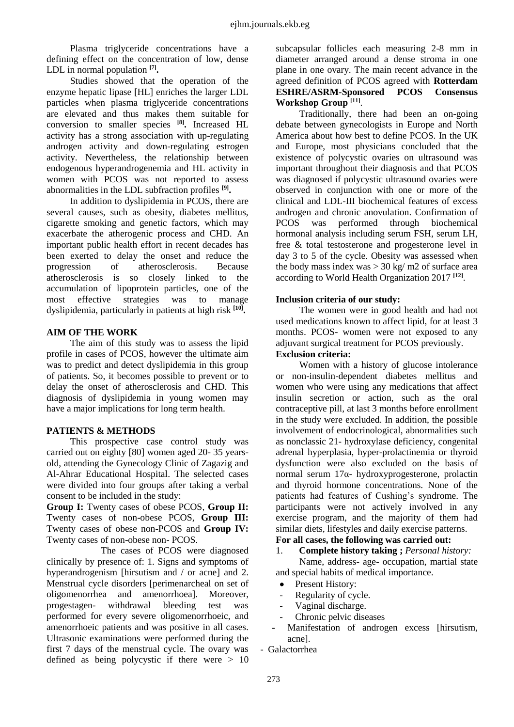Plasma triglyceride concentrations have a defining effect on the concentration of low, dense LDL in normal population **[7] .**

Studies showed that the operation of the enzyme hepatic lipase [HL] enriches the larger LDL particles when plasma triglyceride concentrations are elevated and thus makes them suitable for conversion to smaller species **[8] .** Increased HL activity has a strong association with up-regulating androgen activity and down-regulating estrogen activity. Nevertheless, the relationship between endogenous hyperandrogenemia and HL activity in women with PCOS was not reported to assess abnormalities in the LDL subfraction profiles **[9] .** 

In addition to dyslipidemia in PCOS, there are several causes, such as obesity, diabetes mellitus, cigarette smoking and genetic factors, which may exacerbate the atherogenic process and CHD. An important public health effort in recent decades has been exerted to delay the onset and reduce the progression of atherosclerosis. Because atherosclerosis is so closely linked to the accumulation of lipoprotein particles, one of the most effective strategies was to manage dyslipidemia, particularly in patients at high risk **[10] .**

#### **AIM OF THE WORK**

The aim of this study was to assess the lipid profile in cases of PCOS, however the ultimate aim was to predict and detect dyslipidemia in this group of patients. So, it becomes possible to prevent or to delay the onset of atherosclerosis and CHD. This diagnosis of dyslipidemia in young women may have a major implications for long term health.

#### **PATIENTS & METHODS**

This prospective case control study was carried out on eighty [80] women aged 20- 35 yearsold, attending the Gynecology Clinic of Zagazig and Al-Ahrar Educational Hospital. The selected cases were divided into four groups after taking a verbal consent to be included in the study:

**Group I:** Twenty cases of obese PCOS, **Group II:** Twenty cases of non-obese PCOS, **Group III:** Twenty cases of obese non-PCOS and **Group IV:** Twenty cases of non-obese non- PCOS.

The cases of PCOS were diagnosed clinically by presence of: 1. Signs and symptoms of hyperandrogenism [hirsutism and / or acne] and 2. Menstrual cycle disorders [perimenarcheal on set of oligomenorrhea and amenorrhoea]. Moreover, progestagen- withdrawal bleeding test was performed for every severe oligomenorrhoeic, and amenorrhoeic patients and was positive in all cases. Ultrasonic examinations were performed during the first 7 days of the menstrual cycle. The ovary was defined as being polycystic if there were > 10

subcapsular follicles each measuring 2-8 mm in diameter arranged around a dense stroma in one plane in one ovary. The main recent advance in the agreed definition of PCOS agreed with **Rotterdam ESHRE/ASRM-Sponsored PCOS Consensus Workshop Group [11]** .

Traditionally, there had been an on-going debate between gynecologists in Europe and North America about how best to define PCOS. In the UK and Europe, most physicians concluded that the existence of polycystic ovaries on ultrasound was important throughout their diagnosis and that PCOS was diagnosed if polycystic ultrasound ovaries were observed in conjunction with one or more of the clinical and LDL-III biochemical features of excess androgen and chronic anovulation. Confirmation of PCOS was performed through biochemical hormonal analysis including serum FSH, serum LH, free & total testosterone and progesterone level in day 3 to 5 of the cycle. Obesity was assessed when the body mass index was  $>$  30 kg/ m2 of surface area according to World Health Organization 2017 **[12]** .

#### **Inclusion criteria of our study:**

The women were in good health and had not used medications known to affect lipid, for at least 3 months. PCOS- women were not exposed to any adjuvant surgical treatment for PCOS previously.

### **Exclusion criteria:**

Women with a history of glucose intolerance or non-insulin-dependent diabetes mellitus and women who were using any medications that affect insulin secretion or action, such as the oral contraceptive pill, at last 3 months before enrollment in the study were excluded. In addition, the possible involvement of endocrinological, abnormalities such as nonclassic 21- hydroxylase deficiency, congenital adrenal hyperplasia, hyper-prolactinemia or thyroid dysfunction were also excluded on the basis of normal serum 17α- hydroxyprogesterone, prolactin and thyroid hormone concentrations. None of the patients had features of Cushing's syndrome. The participants were not actively involved in any exercise program, and the majority of them had similar diets, lifestyles and daily exercise patterns.

### **For all cases, the following was carried out:**

#### 1. **Complete history taking ;** *Personal history:*

Name, address- age- occupation, martial state and special habits of medical importance.

- Present History:
- Regularity of cycle.
- Vaginal discharge.
- Chronic pelvic diseases
- Manifestation of androgen excess [hirsutism, acne].

- Galactorrhea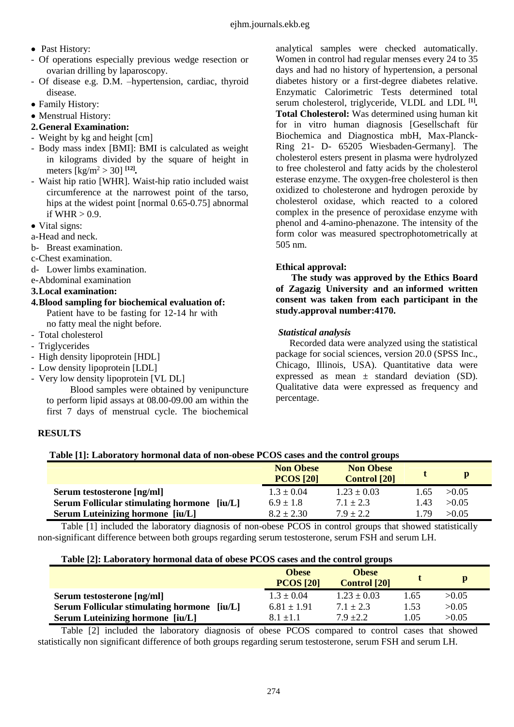- Past History:
- Of operations especially previous wedge resection or ovarian drilling by laparoscopy.
- Of disease e.g. D.M. –hypertension, cardiac, thyroid disease.
- Family History:
- Menstrual History:

# **2.General Examination:**

- Weight by kg and height [cm]
- Body mass index [BMI]: BMI is calculated as weight in kilograms divided by the square of height in meters [kg/m<sup>2</sup> > 30] **[12]** *.*
- Waist hip ratio [WHR]. Waist-hip ratio included waist circumference at the narrowest point of the tarso, hips at the widest point [normal 0.65-0.75] abnormal if WHR  $> 0.9$ .
- Vital signs:
- a-Head and neck.
- b- Breast examination.
- c-Chest examination.
- d- Lower limbs examination.
- e-Abdominal examination

## **3.Local examination:**

- **4.Blood sampling for biochemical evaluation of:**  Patient have to be fasting for 12-14 hr with no fatty meal the night before.
- Total cholesterol
- Triglycerides
- High density lipoprotein [HDL]
- Low density lipoprotein [LDL]
- Very low density lipoprotein [VL DL]

Blood samples were obtained by venipuncture to perform lipid assays at 08.00-09.00 am within the first 7 days of menstrual cycle. The biochemical

# **RESULTS**

analytical samples were checked automatically. Women in control had regular menses every 24 to 35 days and had no history of hypertension, a personal diabetes history or a first-degree diabetes relative. Enzymatic Calorimetric Tests determined total serum cholesterol, triglyceride, VLDL and LDL **[1]** *.* **Total Cholesterol:** Was determined using human kit for in vitro human diagnosis [Gesellschaft für Biochemica and Diagnostica mbH, Max-Planck-Ring 21- D- 65205 Wiesbaden-Germany]. The cholesterol esters present in plasma were hydrolyzed to free cholesterol and fatty acids by the cholesterol esterase enzyme. The oxygen-free cholesterol is then oxidized to cholesterone and hydrogen peroxide by cholesterol oxidase, which reacted to a colored complex in the presence of peroxidase enzyme with phenol and 4-amino-phenazone. The intensity of the form color was measured spectrophotometrically at 505 nm.

## **Ethical approval:**

**The study was approved by the Ethics Board of Zagazig University and an informed written consent was taken from each participant in the study.approval number:4170.**

### *Statistical analysis*

Recorded data were analyzed using the statistical package for social sciences, version 20.0 (SPSS Inc., Chicago, Illinois, USA). Quantitative data were expressed as mean  $\pm$  standard deviation (SD). Qualitative data were expressed as frequency and percentage.

# **Table [1]: Laboratory hormonal data of non-obese PCOS cases and the control groups**

|                                                       | <b>Non Obese</b><br><b>PCOS [20]</b> | <b>Non Obese</b><br><b>Control</b> [20] |      |       |
|-------------------------------------------------------|--------------------------------------|-----------------------------------------|------|-------|
| Serum testosterone [ng/ml]                            | $1.3 \pm 0.04$                       | $1.23 \pm 0.03$                         | 1.65 | >0.05 |
| <b>Serum Follicular stimulating hormone</b><br>fiu/L1 | $6.9 \pm 1.8$                        | $7.1 \pm 2.3$                           | 1.43 | >0.05 |
| <b>Serum Luteinizing hormone [iu/L]</b>               | $8.2 \pm 2.30$                       | $7.9 + 2.2$                             | 179  | >0.05 |

Table [1] included the laboratory diagnosis of non-obese PCOS in control groups that showed statistically non-significant difference between both groups regarding serum testosterone, serum FSH and serum LH.

#### **Table [2]: Laboratory hormonal data of obese PCOS cases and the control groups**

|                                                       | <b>Obese</b><br><b>PCOS [20]</b> | <b>Obese</b><br><b>Control</b> [20] |      |       |
|-------------------------------------------------------|----------------------------------|-------------------------------------|------|-------|
| Serum testosterone [ng/ml]                            | $1.3 \pm 0.04$                   | $1.23 \pm 0.03$                     | .65  | >0.05 |
| <b>Serum Follicular stimulating hormone</b><br>fiu/L1 | $6.81 \pm 1.91$                  | $7.1 \pm 2.3$                       | 1.53 | >0.05 |
| <b>Serum Luteinizing hormone [iu/L]</b>               | $8.1 + 1.1$                      | $7.9 \pm 2.2$                       | l.05 | >0.05 |

Table [2] included the laboratory diagnosis of obese PCOS compared to control cases that showed statistically non significant difference of both groups regarding serum testosterone, serum FSH and serum LH.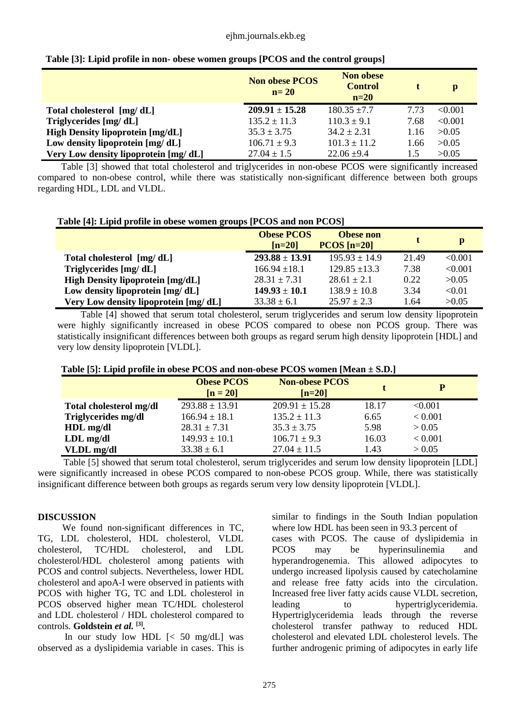#### ejhm.journals.ekb.eg

|                                         | <b>Non obese PCOS</b><br>$n=20$ | <b>Non obese</b><br><b>Control</b><br>$n=20$ |      | $\mathbf{p}$ |
|-----------------------------------------|---------------------------------|----------------------------------------------|------|--------------|
| Total cholesterol [mg/dL]               | $209.91 \pm 15.28$              | $180.35 \pm 7.7$                             | 7.73 | < 0.001      |
| Triglycerides [mg/dL]                   | $135.2 \pm 11.3$                | $110.3 \pm 9.1$                              | 7.68 | < 0.001      |
| <b>High Density lipoprotein [mg/dL]</b> | $35.3 \pm 3.75$                 | $34.2 \pm 2.31$                              | 1.16 | >0.05        |
| Low density lipoprotein $[mg/dL]$       | $106.71 \pm 9.3$                | $101.3 \pm 11.2$                             | 1.66 | >0.05        |
| Very Low density lipoprotein [mg/dL]    | $27.04 \pm 1.5$                 | $22.06 \pm 9.4$                              | 1.5  | >0.05        |

| Table [3]: Lipid profile in non- obese women groups [PCOS and the control groups] |  |  |
|-----------------------------------------------------------------------------------|--|--|
|-----------------------------------------------------------------------------------|--|--|

Table [3] showed that total cholesterol and triglycerides in non-obese PCOS were significantly increased compared to non-obese control, while there was statistically non-significant difference between both groups regarding HDL, LDL and VLDL.

| Table [4]: Lipid profile in obese women groups [PCOS and non PCOS] |                               |                                   |       |              |  |
|--------------------------------------------------------------------|-------------------------------|-----------------------------------|-------|--------------|--|
|                                                                    | <b>Obese PCOS</b><br>$[n=20]$ | <b>Obese non</b><br>$PCOS$ [n=20] |       | $\mathbf{p}$ |  |
| Total cholesterol [mg/dL]                                          | $293.88 \pm 13.91$            | $195.93 \pm 14.9$                 | 21.49 | < 0.001      |  |
| Triglycerides [mg/dL]                                              | $166.94 \pm 18.1$             | $129.85 \pm 13.3$                 | 7.38  | < 0.001      |  |
| <b>High Density lipoprotein [mg/dL]</b>                            | $28.31 \pm 7.31$              | $28.61 + 2.1$                     | 0.22  | >0.05        |  |
| Low density lipoprotein [mg/dL]                                    | $149.93 \pm 10.1$             | $138.9 \pm 10.8$                  | 3.34  | < 0.01       |  |
| Very Low density lipoprotein [mg/dL]                               | $33.38 \pm 6.1$               | $25.97 \pm 2.3$                   | 1.64  | >0.05        |  |

Table [4] showed that serum total cholesterol, serum triglycerides and serum low density lipoprotein were highly significantly increased in obese PCOS compared to obese non PCOS group. There was statistically insignificant differences between both groups as regard serum high density lipoprotein [HDL] and very low density lipoprotein [VLDL].

|  |  |  |  | Table [5]: Lipid profile in obese PCOS and non-obese PCOS women [Mean ± S.D.] |
|--|--|--|--|-------------------------------------------------------------------------------|
|--|--|--|--|-------------------------------------------------------------------------------|

|                         | <b>Obese PCOS</b><br>$[n = 20]$ | <b>Non-obese PCOS</b><br>$[n=20]$ |       | P       |
|-------------------------|---------------------------------|-----------------------------------|-------|---------|
| Total cholesterol mg/dl | $293.88 \pm 13.91$              | $209.91 \pm 15.28$                | 18.17 | < 0.001 |
| Triglycerides mg/dl     | $166.94 \pm 18.1$               | $135.2 \pm 11.3$                  | 6.65  | < 0.001 |
| HDL mg/dl               | $28.31 \pm 7.31$                | $35.3 \pm 3.75$                   | 5.98  | > 0.05  |
| $LDL$ mg/dl             | $149.93 \pm 10.1$               | $106.71 \pm 9.3$                  | 16.03 | < 0.001 |
| VLDL mg/dl              | $33.38 \pm 6.1$                 | $27.04 \pm 11.5$                  | 1.43  | > 0.05  |

Table [5] showed that serum total cholesterol, serum triglycerides and serum low density lipoprotein [LDL] were significantly increased in obese PCOS compared to non-obese PCOS group. While, there was statistically insignificant difference between both groups as regards serum very low density lipoprotein [VLDL].

#### **DISCUSSION**

We found non-significant differences in TC, TG, LDL cholesterol, HDL cholesterol, VLDL cholesterol, TC/HDL cholesterol, and LDL cholesterol/HDL cholesterol among patients with PCOS and control subjects. Nevertheless, lower HDL cholesterol and apoA-I were observed in patients with PCOS with higher TG, TC and LDL cholesterol in PCOS observed higher mean TC/HDL cholesterol and LDL cholesterol / HDL cholesterol compared to controls. **Goldstein** *et al.* **[3]** *.* 

In our study low HDL [< 50 mg/dL] was observed as a dyslipidemia variable in cases. This is

similar to findings in the South Indian population where low HDL has been seen in 93.3 percent of cases with PCOS. The cause of dyslipidemia in PCOS may be hyperinsulinemia and hyperandrogenemia. This allowed adipocytes to undergo increased lipolysis caused by catecholamine and release free fatty acids into the circulation. Increased free liver fatty acids cause VLDL secretion, leading to hypertriglyceridemia. Hypertriglyceridemia leads through the reverse cholesterol transfer pathway to reduced HDL cholesterol and elevated LDL cholesterol levels. The further androgenic priming of adipocytes in early life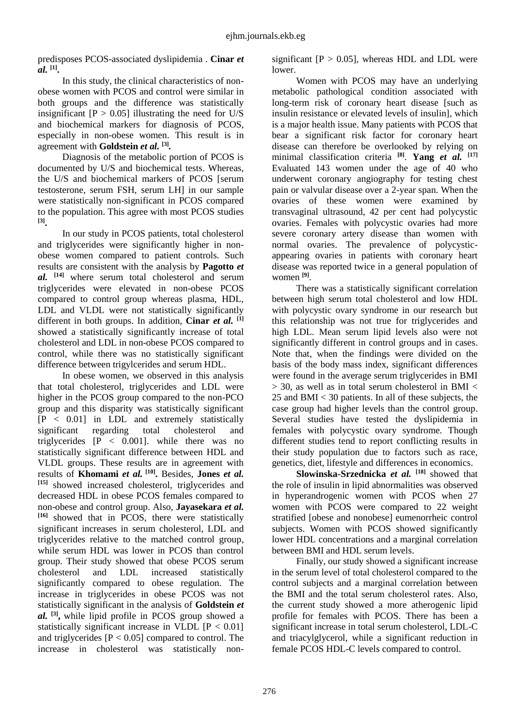predisposes PCOS-associated dyslipidemia . **Cinar** *et al.* **[1] .**

In this study, the clinical characteristics of nonobese women with PCOS and control were similar in both groups and the difference was statistically insignificant  $[P > 0.05]$  illustrating the need for U/S and biochemical markers for diagnosis of PCOS, especially in non-obese women. This result is in agreement with **Goldstein** *et al.* **[3]** *.*

Diagnosis of the metabolic portion of PCOS is documented by U/S and biochemical tests. Whereas, the U/S and biochemical markers of PCOS [serum testosterone, serum FSH, serum LH] in our sample were statistically non-significant in PCOS compared to the population. This agree with most PCOS studies **[3] .**

In our study in PCOS patients, total cholesterol and triglycerides were significantly higher in nonobese women compared to patient controls. Such results are consistent with the analysis by **Pagotto** *et al.* **[14]** where serum total cholesterol and serum triglycerides were elevated in non-obese PCOS compared to control group whereas plasma, HDL, LDL and VLDL were not statistically significantly different in both groups. In addition, **Cinar** *et al.* **[1]** showed a statistically significantly increase of total cholesterol and LDL in non-obese PCOS compared to control, while there was no statistically significant difference between trigylcerides and serum HDL.

In obese women, we observed in this analysis that total cholesterol, triglycerides and LDL were higher in the PCOS group compared to the non-PCO group and this disparity was statistically significant [P < 0.01] in LDL and extremely statistically significant regarding total cholesterol and triglycerides  $[P \le 0.001]$ . while there was no statistically significant difference between HDL and VLDL groups. These results are in agreement with results of **Khomami** *et al.* **[10] .** Besides, **Jones** *et al.* **[15]** showed increased cholesterol, triglycerides and decreased HDL in obese PCOS females compared to non-obese and control group. Also, **Jayasekara** *et al.* **[16]** showed that in PCOS, there were statistically significant increases in serum cholesterol, LDL and triglycerides relative to the matched control group, while serum HDL was lower in PCOS than control group. Their study showed that obese PCOS serum cholesterol and LDL increased statistically significantly compared to obese regulation. The increase in triglycerides in obese PCOS was not statistically significant in the analysis of **Goldstein** *et al.* **[3] ,** while lipid profile in PCOS group showed a statistically significant increase in VLDL  $[P < 0.01]$ and triglycerides  $[P < 0.05]$  compared to control. The increase in cholesterol was statistically nonsignificant  $[P > 0.05]$ , whereas HDL and LDL were lower.

Women with PCOS may have an underlying metabolic pathological condition associated with long-term risk of coronary heart disease [such as insulin resistance or elevated levels of insulin], which is a major health issue. Many patients with PCOS that bear a significant risk factor for coronary heart disease can therefore be overlooked by relying on minimal classification criteria **[8]** . **Yang** *et al.* **[17]** Evaluated 143 women under the age of 40 who underwent coronary angiography for testing chest pain or valvular disease over a 2-year span. When the ovaries of these women were examined by transvaginal ultrasound, 42 per cent had polycystic ovaries. Females with polycystic ovaries had more severe coronary artery disease than women with normal ovaries. The prevalence of polycysticappearing ovaries in patients with coronary heart disease was reported twice in a general population of women **[9]** .

There was a statistically significant correlation between high serum total cholesterol and low HDL with polycystic ovary syndrome in our research but this relationship was not true for triglycerides and high LDL. Mean serum lipid levels also were not significantly different in control groups and in cases. Note that, when the findings were divided on the basis of the body mass index, significant differences were found in the average serum triglycerides in BMI  $>$  30, as well as in total serum cholesterol in BMI  $<$ 25 and BMI < 30 patients. In all of these subjects, the case group had higher levels than the control group. Several studies have tested the dyslipidemia in females with polycystic ovary syndrome. Though different studies tend to report conflicting results in their study population due to factors such as race, genetics, diet, lifestyle and differences in economics.

**Slowinska-Srzednicka** *et al.* **[18]** showed that the role of insulin in lipid abnormalities was observed in hyperandrogenic women with PCOS when 27 women with PCOS were compared to 22 weight stratified [obese and nonobese] eumenorrheic control subjects. Women with PCOS showed significantly lower HDL concentrations and a marginal correlation between BMI and HDL serum levels.

Finally, our study showed a significant increase in the serum level of total cholesterol compared to the control subjects and a marginal correlation between the BMI and the total serum cholesterol rates. Also, the current study showed a more atherogenic lipid profile for females with PCOS. There has been a significant increase in total serum cholesterol, LDL-C and triacylglycerol, while a significant reduction in female PCOS HDL-C levels compared to control.